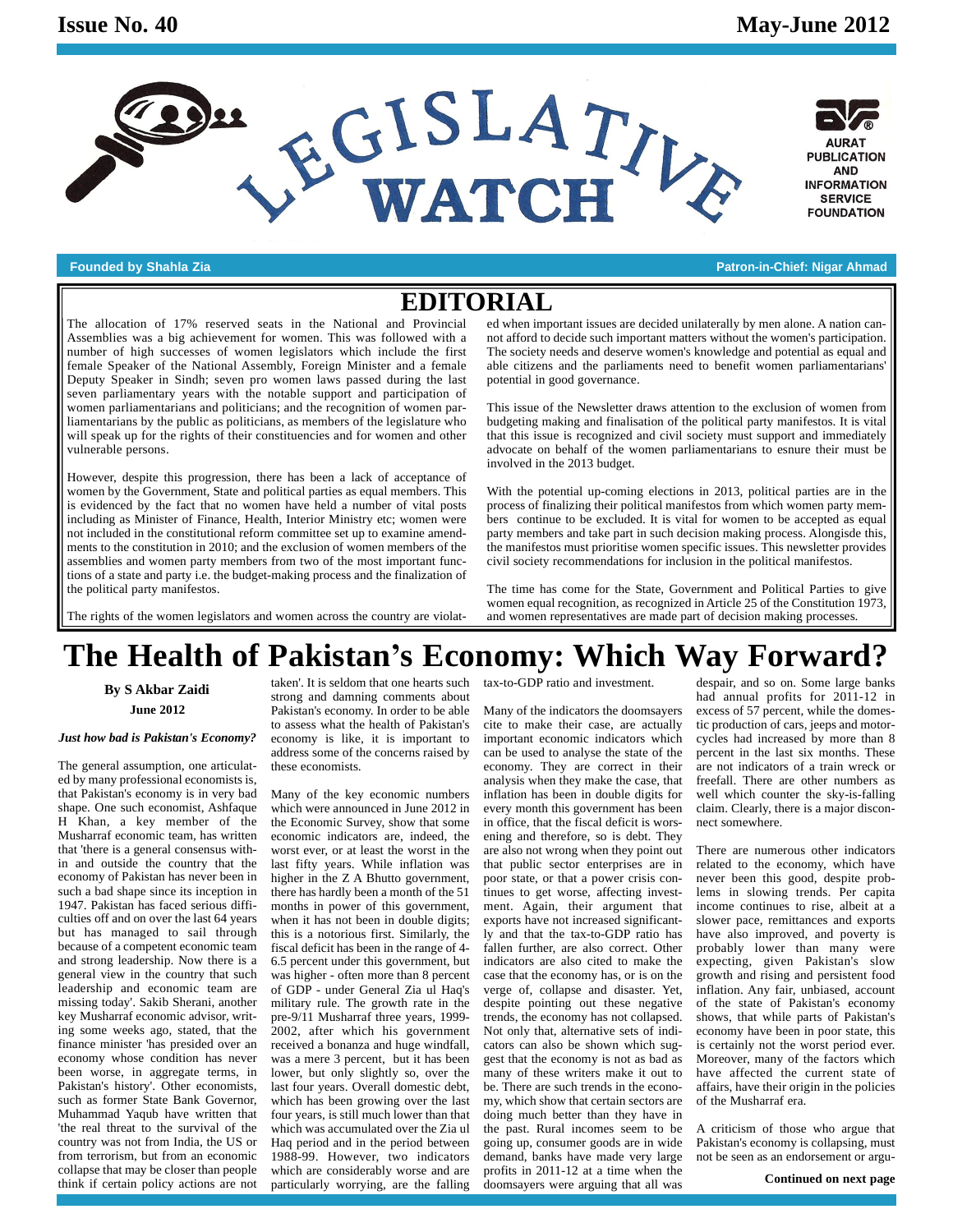



**Founded by Shahla Zia Patron-in-Chief: Nigar Ahmad**

### **EDITORIAL**

The allocation of 17% reserved seats in the National and Provincial Assemblies was a big achievement for women. This was followed with a number of high successes of women legislators which include the first female Speaker of the National Assembly, Foreign Minister and a female Deputy Speaker in Sindh; seven pro women laws passed during the last seven parliamentary years with the notable support and participation of women parliamentarians and politicians; and the recognition of women parliamentarians by the public as politicians, as members of the legislature who will speak up for the rights of their constituencies and for women and other vulnerable persons.

However, despite this progression, there has been a lack of acceptance of women by the Government, State and political parties as equal members. This is evidenced by the fact that no women have held a number of vital posts including as Minister of Finance, Health, Interior Ministry etc; women were not included in the constitutional reform committee set up to examine amend ments to the constitution in 2010; and the exclusion of women members of the assemblies and women party members from two of the most important functions of a state and party i.e. the budget-making process and the finalization of the political party manifestos.

ed when important issues are decided unilaterally by men alone. A nation can not afford to decide such important matters without the women's participation. The society needs and deserve women's knowledge and potential as equal and able citizens and the parliaments need to benefit women parliamentarians' potential in good governance.

This issue of the Newsletter draws attention to the exclusion of women from budgeting making and finalisation of the political party manifestos. It is vital that this issue is recognized and civil society must support and immediately advocate on behalf of the women parliamentarians to esnure their must be involved in the 2013 budget.

With the potential up-coming elections in 2013, political parties are in the process of finalizing their political manifestos from which women party mem bers continue to be excluded. It is vital for women to be accepted as equal party members and take part in such decision making process. Alongisde this, the manifestos must prioritise women specific issues. This newsletter provides civil society recommendations for inclusion in the political manifestos.

The rights of the women legislators and women across the country are violat-

The time has come for the State, Government and Political Parties to give women equal recognition, as recognized in Article 25 of the Constitution 1973, and women representatives are made part of decision making processes.

# **The Health of Pakistaní<sup>s</sup> Economy: Which Way Forward?**

**June 2012 By S Akbar Zaidi**

#### *Just how bad is Pakistan's Economy?*

The general assumption, one articulat ed by many professional economists is, that Pakistan's economy is in very bad shape. One such economist, Ashfaque H Khan,a key member of the Musharraf economic team, has written that 'there is a general consensus within and outside the country that the economy of Pakistan has never been in such a bad shape since its inception in 1947. Pakistan has faced serious diffi culties off and on over the last 64 years but has managed to sail through because of a competent economic team and strong leadership. Now there is a general view in the country that such leadership and economic team are missing today'. Sakib Sherani, another key Musharraf economic advisor, writing some weeks ago, stated, that the finance minister 'has presided over an economy whose condition has never been worse, in aggregate terms, in Pakistan's history'. Other economists, such as former State Bank Governor, Muhammad Yaqub have written that 'the real threat to the survival of the country was not from India, the US or from terrorism, but from an economic collapse that may be closer than people think if certain policy actions are not

taken'. It is seldom that one hearts such strong and damning comments about Pakistan's economy. In order to be able to assess what the health of Pakistan's economy is like, it is important to address some of the concerns raised by these economists.

Many of the key economic numbers which were announced in June 2012 in the Economic Survey, show that some economic indicators are, indeed, the worst ever, or at least the worst in the last fifty years. While inflation was higher in the Z A Bhutto government, there has hardly been a month of the 51 months in power of this government, when it has not been in double digits; this is a notorious first. Similarly, the fiscal deficit has been in the range of 4- 6.5 percent under this government, but was higher - often more than 8 percent of GDP - under General Zia ul Haq's military rule. The growth rate in the pre-9/11 Musharraf three years, 1999- 2002, after which his government received a bonanza and huge windfall, was a mere 3 percent, but it has been lower, but only slightly so, over the last four years. Overall domestic debt, which has been growing over the last four years, is still much lower than that which was accumulated over the Zia ul Haq period and in the period between 1988-99. However, two indicators which are considerably worse and are particularly worrying, are the falling

tax-to-GDP ratio and investment.

Many of the indicators the doomsayers cite to make their case, are actually important economic indicators which can be used to analyse the state of the economy. They are correct in their analysis when they make the case, that inflation has been in double digits for every month this government has been in office, that the fiscal deficit is wors ening and therefore, so is debt. They are also not wrong when they point out that public sector enterprises are in poor state, or that a power crisis continues to get worse, affecting invest ment. Again, their argument that exports have not increased significantly and that the tax-to-GDP ratio has fallen further, are also correct. Other indicators are also cited to make the case that the economy has, or is on the verge of, collapse and disaster. Yet, despite pointing out these negative trends, the economy has not collapsed. Not only that, alternative sets of indi cators can also be shown which sug gest that the economy is not as bad as many of these writers make it out to be. There are such trends in the econo my, which show that certain sectors are doing much better than they have in the past. Rural incomes seem to be going up, consumer goods are in wide demand, banks have made very large profits in 2011-12 at a time when the doomsayers were arguing that all was

despair, and so on. Some large banks had annual profits for 2011-12 in excess of 57 percent, while the domestic production of cars, jeeps and motor cycles had increased by more than 8 percent in the last six months. These are not indicators of a train wreck or freefall. There are other numbers as well which counter the sky-is-falling claim. Clearly, there is a major discon nect somewhere.

There are numerous other indicators related to the economy, which have never been this good, despite problems in slowing trends. Per capita income continues to rise, albeit at a slower pace, remittances and exports have also improved, and poverty is probably lower than many were expecting, given Pakistan's slow growth and rising and persistent food inflation. Any fair, unbiased, account of the state of Pakistan's economy shows, that while parts of Pakistan's economy have been in poor state, this is certainly not the worst period ever. Moreover, many of the factors which have affected the current state of affairs, have their origin in the policies of the Musharraf era.

A criticism of those who argue that Pakistan's economy is collapsing, must not be seen as an endorsement or argu-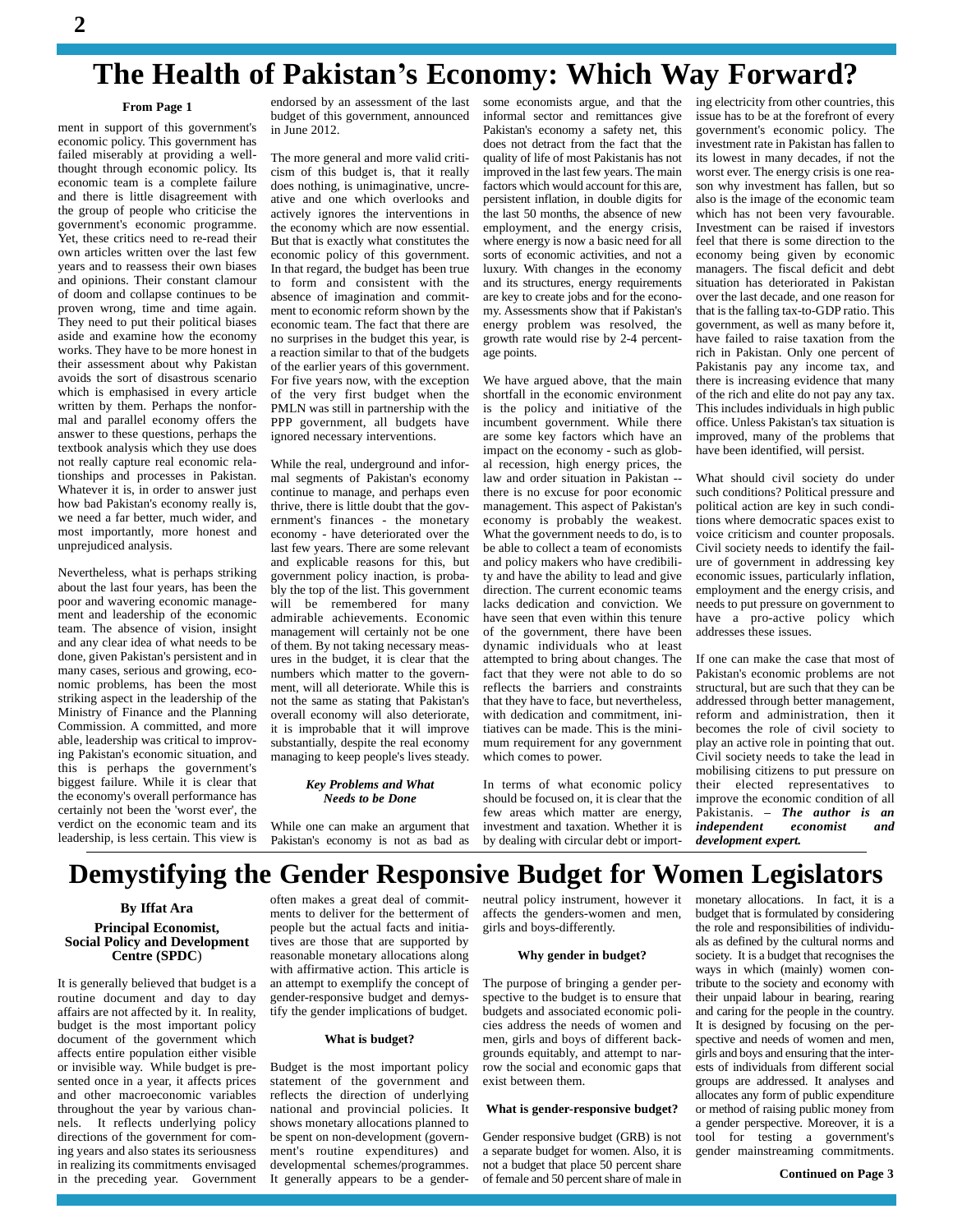# **The Health of Pakistaní<sup>s</sup> Economy: Which Way Forward?**

#### **From Page 1**

ment in support of this government's economic policy. This government has failed miserably at providing a wellthought through economic policy. Its economic team is a complete failure and there is little disagreement with the group of people who criticise the government's economic programme. Yet, these critics need to re-read their own articles written over the last few years and to reassess their own biases and opinions. Their constant clamour of doom and collapse continues to be proven wrong, time and time again. They need to put their political biases aside and examine how the economy works. They have to be more honest in their assessment about why Pakistan avoids the sort of disastrous scenario which is emphasised in every article written by them. Perhaps the nonfor mal and parallel economy offers the answer to these questions, perhaps the textbook analysis which they use does not really capture real economic relationships and processes in Pakistan. Whatever it is, in order to answer just how bad Pakistan's economy really is, we need a far better, much wider, and most importantly, more honest and unprejudiced analysis.

Nevertheless, what is perhaps striking about the last four years, has been the poor and wavering economic manage ment and leadership of the economic team. The absence of vision, insight and any clear idea of what needs to be done, given Pakistan's persistent and in many cases, serious and growing, eco nomic problems, has been the most striking aspect in the leadership of the Ministry of Finance and the Planning Commission. A committed, and more able, leadership was critical to improving Pakistan's economic situation, and this is perhaps the government's biggest failure. While it is clear that the economy's overall performance has certainly not been the 'worst ever', the verdict on the economic team and its leadership, is less certain. This view is

endorsed by an assessment of the last budget of this government, announced in June 2012.

The more general and more valid criti cism of this budget is, that it really does nothing, is unimaginative, uncre ative and one which overlooks and actively ignores the interventions in the economy which are now essential. But that is exactly what constitutes the economic policy of this government. In that regard, the budget has been true to form and consistent with the absence of imagination and commit ment to economic reform shown by the economic team. The fact that there are no surprises in the budget this year, is a reaction similar to that of the budgets of the earlier years of this government. For five years now, with the exception of the very first budget when the PMLN was still in partnership with the PPP government, all budgets have ignored necessary interventions.

While the real, underground and infor mal segments of Pakistan's economy continue to manage, and perhaps even thrive, there is little doubt that the gov ernment's finances - the monetary economy - have deteriorated over the last few years. There are some relevant and explicable reasons for this, but government policy inaction, is proba bly the top of the list. This government will be remembered for many admirable achievements. Economic management will certainly not be one of them. By not taking necessary meas ures in the budget, it is clear that the numbers which matter to the govern ment, will all deteriorate. While this is not the same as stating that Pakistan's overall economy will also deteriorate, it is improbable that it will improve substantially, despite the real economy managing to keep people's lives steady.

#### *Key Problems and What Needs to be Done*

While one can make an argument that Pakistan's economy is not as bad as

some economists argue, and that the informal sector and remittances give Pakistan's economy a safety net, this does not detract from the fact that the quality of life of most Pakistanis has not improved in the last few years. The main factors which would account for this are, persistent inflation, in double digits for the last 50 months, the absence of new employment, and the energy crisis, where energy is now a basic need for all sorts of economic activities, and not a luxury. With changes in the economy and its structures, energy requirements are key to create jobs and for the econo my. Assessments show that if Pakistan's energy problem was resolved, the growth rate would rise by 2-4 percent age points.

We have argued above, that the main shortfall in the economic environment is the policy and initiative of the incumbent government. While there are some key factors which have an impact on the economy - such as glob al recession, high energy prices, the law and order situation in Pakistan - there is no excuse for poor economic management. This aspect of Pakistan's economy is probably the weakest. What the government needs to do, is to be able to collect a team of economists and policy makers who have credibility and have the ability to lead and give direction. The current economic teams lacks dedication and conviction. We have seen that even within this tenure of the government, there have been dynamic individuals who at least attempted to bring about changes. The fact that they were not able to do so reflects the barriers and constraints that they have to face, but nevertheless, with dedication and commitment, initiatives can be made. This is the mini mum requirement for any government which comes to power.

In terms of what economic policy few areas which matter are energy, investment and taxation. Whether it is by dealing with circular debt or importing electricity from other countries, this issue has to be at the forefront of every government's economic policy. The investment rate in Pakistan has fallen to its lowest in many decades, if not the worst ever. The energy crisis is one rea son why investment has fallen, but so also is the image of the economic team which has not been very favourable. Investment can be raised if investors feel that there is some direction to the economy being given by economic managers. The fiscal deficit and debt situation has deteriorated in Pakistan over the last decade, and one reason for that is the falling tax-to-GDP ratio.This government, as well as many before it, have failed to raise taxation from the rich in Pakistan. Only one percent of Pakistanis pay any income tax, and there is increasing evidence that many of the rich and elite do not pay any tax. This includes individuals in high public office. Unless Pakistan's tax situation is improved, many of the problems that have been identified, will persist.

What should civil society do under such conditions? Political pressure and political action are key in such conditions where democratic spaces exist to voice criticism and counter proposals. Civil society needs to identify the fail ure of government in addressing key economic issues, particularly inflation, employment and the energy crisis, and needs to put pressure on government to have a pro-active policy which addresses these issues.

should be focused on, it is clear that the improve the economic condition of all few areas which matter are energy. Pakistanis.  $-$  The author is an If one can make the case that most of Pakistan's economic problems are not structural, but are such that they can be addressed through better management, reform and administration, then it becomes the role of civil society to play an active role in pointing that out. Civil society needs to take the lead in mobilising citizens to put pressure on their elected representatives to improve the economic condition of all their elected representatives to<br>improve the economic condition of all<br>Pakistanis. – **The author is an** *independent economist and development expert.*

### **Demystifying the Gender Responsive Budget for Women Legislators**

### **Principal Economist, Social Policy and Development Centre (SPDC**) **By Iffat Ara**

It is generally believed that budget is a routine document and day to day affairs are not affected by it. In reality, budget is the most important policy document of the government which affects entire population either visible or invisible way. While budget is pre sented once in a year, it affects prices and other macroeconomic variables throughout the year by various chan nels. It reflects underlying policy directions of the government for coming years and also states its seriousness in realizing its commitments envisaged in the preceding year. Government

often makes a great deal of commit ments to deliver for the betterment of people but the actual facts and initiatives are those that are supported by reasonable monetary allocations along with affirmative action. This article is an attempt to exemplify the concept of gender-responsive budget and demystify the gender implications of budget.

#### **What is budget?**

Budget is the most important policy statement of the government and reflects the direction of underlying national and provincial policies. It shows monetary allocations planned to be spent on non-development (govern ment's routine expenditures) and developmental schemes/programmes. It generally appears to be a genderneutral policy instrument, however it affects the genders-women and men, girls and boys-differently.

#### **Why gender in budget?**

The purpose of bringing a gender per spective to the budget is to ensure that budgets and associated economic poli cies address the needs of women and men, girls and boys of different back grounds equitably, and attempt to narrow the social and economic gaps that exist between them.

#### **What is gender-responsive budget?**

Gender responsive budget (GRB) is not a separate budget for women. Also, it is not a budget that place 50 percent share of female and 50 percentshare of male in

monetary allocations. In fact, it is a budget that is formulated by considering the role and responsibilities of individu als as defined by the cultural norms and society. It is a budget that recognises the ways in which (mainly) women contribute to the society and economy with their unpaid labour in bearing, rearing and caring for the people in the country. It is designed by focusing on the perspective and needs of women and men, girls and boys and ensuring that the interests of individuals from different social groups are addressed. It analyses and allocates any form of public expenditure or method of raising public money from a gender perspective. Moreover, it is a tool for testing a government's gender mainstreaming commitments.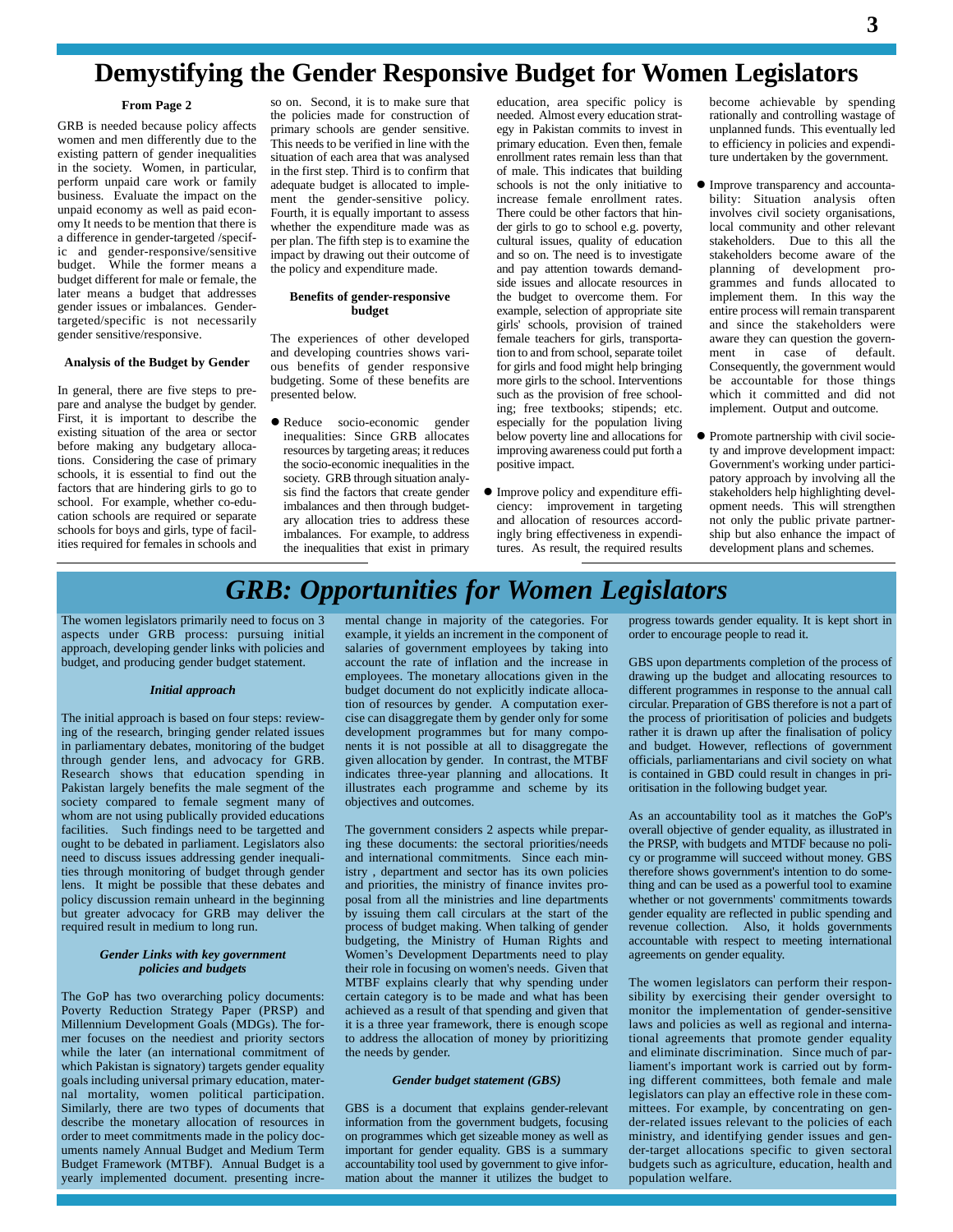## **Demystifying the Gender Responsive Budget for Women Legislators**

#### **From Page 2**

GRB is needed because policy affects women and men differently due to the existing pattern of gender inequalities in the society. Women, in particular, perform unpaid care work or family business. Evaluate the impact on the unpaid economy as well as paid econ omy It needs to be mention that there is a difference in gender-targeted /specific and gender-responsive/sensitive budget. While the former means a budget different for male or female, the later means a budget that addresses gender issues or imbalances. Gendertargeted/specific is not necessarily gender sensitive/responsive.

#### **Analysis of the Budget by Gender**

In general, there are five steps to pre pare and analyse the budget by gender. First, it is important to describe the existing situation of the area or sector before making any budgetary allocations. Considering the case of primary schools, it is essential to find out the factors that are hindering girls to go to school. For example, whether co-edu cation schools are required orseparate schools for boys and girls, type of facilities required for females in schools and

so on. Second, it is to make sure that the policies made for construction of primary schools are gender sensitive. This needs to be verified in line with the situation of each area that was analysed in the first step. Third is to confirm that adequate budget is allocated to imple ment the gender-sensitive policy. Fourth, it is equally important to assess whether the expenditure made was as per plan. The fifth step is to examine the impact by drawing out their outcome of the policy and expenditure made.

#### **Benefits of gender-responsive budget**

The experiences of other developed and developing countries shows vari ous benefits of gender responsive budgeting. Some of these benefits are presented below.

 Reduce socio-economic gender inequalities: Since GRB allocates resources by targeting areas; it reduces the socio-economic inequalities in the society. GRB through situation analysis find the factors that create gender imbalances and then through budget ary allocation tries to address these imbalances. For example, to address the inequalities that exist in primary

education, area specific policy is needed. Almost every education strat egy in Pakistan commits to invest in primary education. Even then, female enrollment rates remain less than that of male. This indicates that building schools is not the only initiative to increase female enrollment rates. There could be other factors that hin der girls to go to school e.g. poverty, cultural issues, quality of education and so on. The need is to investigate and pay attention towards demand side issues and allocate resources in the budget to overcome them. For example, selection of appropriate site girls' schools, provision of trained female teachers for girls, transportation to and from school, separate toilet for girls and food might help bringing more girls to the school. Interventions such as the provision of free schooling; free textbooks; stipends; etc. especially for the population living below poverty line and allocations for improving awareness could put forth a positive impact.

 Improve policy and expenditure effi ciency: improvement in targeting and allocation of resources accordingly bring effectiveness in expenditures. As result, the required results

become achievable by spending rationally and controlling wastage of unplanned funds. This eventually led to efficiency in policies and expenditure undertaken by the government.

- Improve transparency and accounta bility: Situation analysis often involves civil society organisations, local community and other relevant stakeholders. Due to this all the stakeholders become aware of the planning of development pro grammes and funds allocated to implement them. In this way the entire process will remain transparent and since the stakeholders were aware they can question the govern ment in case of default. Consequently, the government would be accountable for those things which it committed and did not implement. Output and outcome.
- Promote partnership with civil society and improve development impact: Government's working under partici patory approach by involving all the stakeholders help highlighting devel opment needs. This will strengthen not only the public private partner ship but also enhance the impact of development plans and schemes.

### *GRB: Opportunities for Women Legislators*

The women legislators primarily need to focus on 3 aspects under GRB process: pursuing initial approach, developing gender links with policies and budget, and producing gender budget statement.

#### *Initial approach*

The initial approach is based on four steps: reviewing of the research, bringing gender related issues in parliamentary debates, monitoring of the budget through gender lens, and advocacy for GRB. Research shows that education spending in Pakistan largely benefits the male segment of the society compared to female segment many of whom are not using publically provided educations facilities. Such findings need to be targetted and ought to be debated in parliament. Legislators also need to discuss issues addressing gender inequalities through monitoring of budget through gender lens. It might be possible that these debates and policy discussion remain unheard in the beginning but greater advocacy for GRB may deliver the required result in medium to long run.

#### *Gender Links with key government policies and budgets*

The GoP has two overarching policy documents: Poverty Reduction Strategy Paper (PRSP) and Millennium Development Goals (MDGs). The for mer focuses on the neediest and priority sectors while the later (an international commitment of which Pakistan is signatory) targets gender equality goals including universal primary education, mater nal mortality, women political participation. Similarly, there are two types of documents that describe the monetary allocation of resources in order to meet commitments made in the policy doc uments namely Annual Budget and Medium Term Budget Framework (MTBF). Annual Budget is a yearly implemented document. presenting incremental change in majority of the categories. For example, it yields an increment in the component of salaries of government employees by taking into account the rate of inflation and the increase in employees. The monetary allocations given in the budget document do not explicitly indicate allocation of resources by gender. A computation exercise can disaggregate them by gender only for some development programmes but for many compo nents it is not possible atall to disaggregate the given allocation by gender. In contrast, the MTBF indicates three-year planning and allocations. It illustrates each programme and scheme by its objectives and outcomes.

The government considers 2 aspects while preparing these documents: the sectoral priorities/needs and international commitments. Since each ministry , department and sector has its own policies and priorities, the ministry of finance invites proposal from all the ministries and line departments by issuing them call circulars at the start of the process of budget making. When talking of gender veven<br>budgeting, the Ministry of Human Rights and accou<br>Women's Development Departments need to play agree budgeting, the Ministry of Human Rights and their role in focusing on women's needs. Given that MTBF explains clearly that why spending under certain category is to be made and what has been achieved as a result of that spending and given that it is a three year framework, there is enough scope to address the allocation of money by prioritizing the needs by gender.

#### *Gender budget statement (GBS)*

GBS is a document that explains gender-relevant information from the government budgets, focusing on programmes which get sizeable money as well as important for gender equality. GBS is a summary accountability tool used by government to give information about the manner it utilizes the budget to

progress towards gender equality. It is kept short in order to encourage people to read it.

GBS upon departments completion of the process of drawing up the budget and allocating resources to different programmes in response to the annual call circular. Preparation of GBS therefore is not a part of the process of prioritisation of policies and budgets rather it is drawn up after the finalisation of policy and budget. However, reflections of government officials, parliamentarians and civil society on what is contained in GBD could result in changes in pri oritisation in the following budget year.

As an accountability tool as it matches the GoP's overall objective of gender equality, as illustrated in the PRSP, with budgets and MTDF because no poli cy or programme will succeed without money. GBS therefore shows government's intention to do something and can be used as a powerful tool to examine whether or not governments' commitments towards gender equality are reflected in public spending and revenue collection. Also, it holds governments accountable with respect to meeting international agreements on gender equality.

The women legislators can perform their respon sibility by exercising their gender oversight to monitor the implementation of gender-sensitive laws and policies as well as regional and international agreements that promote gender equality and eliminate discrimination. Since much of parliament's important work is carried out by forming different committees, both female and male legislators can play an effective role in these com mittees. For example, by concentrating on gen der-related issues relevant to the policies of each ministry, and identifying gender issues and gen der-target allocations specific to given sectoral budgets such as agriculture, education, health and population welfare.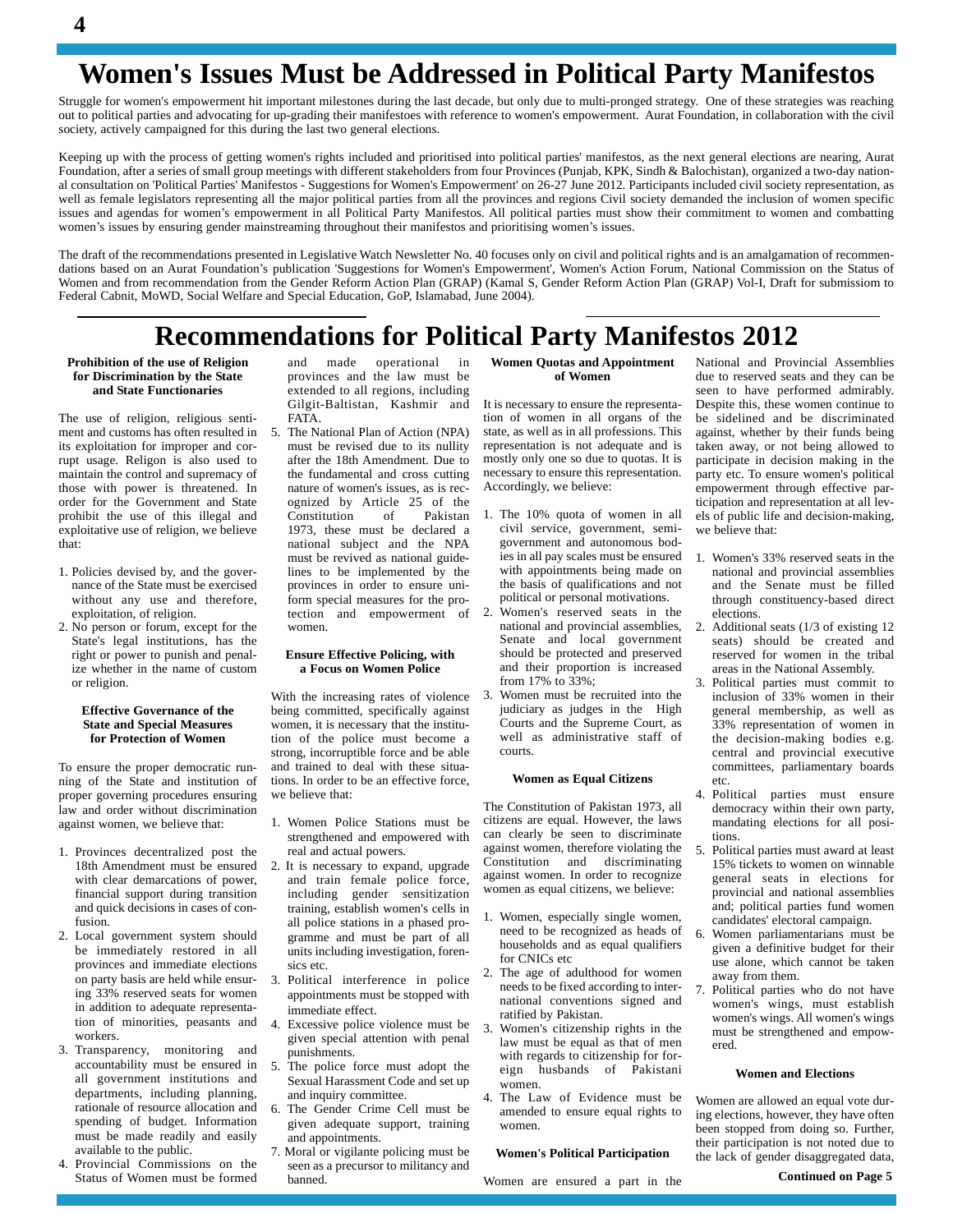# **Women's Issues Must be Addressed in Political Party Manifestos**

Struggle for women's empowerment hit important milestones during the last decade, but only due to multi-pronged strategy. One of these strategies was reaching out to political parties and advocating for up-grading their manifestoes with reference to women's empowerment. Aurat Foundation, in collaboration with the civil society, actively campaigned for this during the last two general elections.

Keeping up with the process of getting women's rights included and prioritised into political parties' manifestos, as the next general elections are nearing, Aurat Foundation, after a series of small group meetings with different stakeholders from four Provinces (Punjab, KPK, Sindh & Balochistan), organized a two-day nation al consultation on 'Political Parties' Manifestos - Suggestions for Women's Empowerment' on 26-27 June 2012. Participants included civil society representation, as well as female legislators representing all the major political parties from all the provinces and regions Civil society demanded the inclusion of women specific al consultation on 'Political Parties' Manifestos - Suggestions for Women's Empowerment' on 26-27 June 2012. Participants included civil society representation, as<br>well as female legislators representing all the major poli issues and agendas for women's empowerment in all Political Party Manifestos. All political parties must show their commitment to women and combatting women's issues by ensuring gender mainstreaming throughout their manife

The draft of the recommendations presented in Legislative Watch Newsletter No. 40 focuses only on civil and political rights and is an amalgamation of recommendations based on an Aurat Foundation's publication 'Suggestions for Women's Empowerment', Women's Action Forum, National Commission on the Status of Women and from recommendation from the Gender Reform Action Plan (GRAP) (Kamal S, Gender Reform Action Plan (GRAP) Vol-I, Draft for submissiom to Federal Cabnit, MoWD, Social Welfare and Special Education, GoP, Islamabad, June 2004).

### **Recommendations for Political Party Manifestos 2012**

#### **Prohibition of the use of Religion for Discrimination by the State and State Functionaries**

The use of religion, religious senti ment and customs has often resulted in its exploitation for improper and corrupt usage. Religon is also used to maintain the control and supremacy of those with power is threatened. In order for the Government and State prohibit the use of this illegal and exploitative use of religion, we believe that:

- 1. Policies devised by, and the gover nance of the State must be exercised without any use and therefore, exploitation, of religion.
- 2. No person or forum, except for the State's legal institutions, has the right or power to punish and penalize whether in the name of custom or religion.

#### **Effective Governance of the State and Special Measures for Protection of Women**

To ensure the proper democratic run ning of the State and institution of proper governing procedures ensuring law and order without discrimination against women, we believe that:

- 1. Provinces decentralized post the 18th Amendment must be ensured with clear demarcations of power, financial support during transition and quick decisions in cases of confusion.
- 2. Local government system should be immediately restored in all provinces and immediate elections on party basis are held while ensuring 33% reserved seats for women in addition to adequate representation of minorities, peasants and workers.
- 3. Transparency, monitoring and accountability must be ensured in all government institutions and departments, including planning, rationale of resource allocation and spending of budget. Information must be made readily and easily available to the public.
- 4. Provincial Commissions on the Status of Women must be formed

made operational in provinces and the law must be extended to all regions, including Gilgit-Baltistan, Kashmir and FATA.

5. The National Plan of Action (NPA) must be revised due to its nullity after the 18th Amendment. Due to the fundamental and cross cutting nature of women's issues, as is rec ognized by Article 25 of the Constitution of Pakistan 1973, these must be declared a national subject and the NPA must be revived as national guidelines to be implemented by the provinces in order to ensure uniform special measures for the protection and empowerment of women.

#### **Ensure Effective Policing, with a Focus on Women Police**

With the increasing rates of violence being committed, specifically against women, it is necessary that the institution of the police must become a strong, incorruptible force and be able and trained to deal with these situations. In order to be an effective force, we believe that:

- 1. Women Police Stations must be strengthened and empowered with real and actual powers.
- 2.It is necessary to expand, upgrade and train female police force, including gender sensitization training, establish women's cells in all police stations in a phased pro gramme and must be part of all units including investigation, foren sics etc.
- 3. Political interference in police appointments must be stopped with immediate effect.
- Excessive police violence must be given special attention with penal punishments.
- The police force must adopt the Sexual Harassment Code and set up and inquiry committee.
- 6. The Gender Crime Cell must be given adequate support, training and appointments.
- 7. Moral or vigilante policing must be seen as a precursor to militancy and banned.

#### **Women Quotas and Appointment of Women**

It is necessary to ensure the representation of women in all organs of the state, as well as in all professions. This representation is not adequate and is mostly only one so due to quotas. It is necessary to ensure this representation. Accordingly, we believe:

- 1. The 10% quota of women in all civil service, government, semi government and autonomous bodies in all pay scales must be ensured with appointments being made on the basis of qualifications and not political or personal motivations.
- 2. Women's reserved seats in the national and provincial assemblies, Senate and local government should be protected and preserved and their proportion is increased from 17% to 33%;
- 3. Women must be recruited into the judiciary as judges in the High Courts and the Supreme Court, as well as administrative staff of courts.

#### **Women asEqual Citizens**

The Constitution of Pakistan 1973, all citizens are equal. However, the laws can clearly be seen to discriminate against women, therefore violating the 5.<br>Constitution and discriminating Constitution and against women. In order to recognize women as equal citizens, we believe:

- 1. Women, especially single women, need to be recognized as heads of 6 households and as equal qualifiers for CNICs etc.
- 2. The age of adulthood for women needs to be fixed according to inter national conventions signed and ratified by Pakistan.
- 3. Women's citizenship rights in the law must be equal as that of men with regards to citizenship for for eign husbands of Pakistani women.
- 4. The Law of Evidence must be amended to ensure equal rights to women.

#### **Women's Political Participation**

Women are ensured a part in the

National and Provincial Assemblies due to reserved seats and they can be seen to have performed admirably. Despite this, these women continue to be sidelined and be discriminated against, whether by their funds being taken away, or not being allowed to participate in decision making in the party etc. To ensure women's political empowerment through effective participation and representation at all lev els of public life and decision-making, we believe that:

- 1. Women's 33% reserved seats in the national and provincial assemblies and the Senate must be filled through constituency-based direct elections.
- 2. Additional seats (1/3 of existing 12 seats) should be created and reserved for women in the tribal areas in the National Assembly.
- 3. Political parties must commit to inclusion of33% women in their general membership, as well as 33% representation of women in the decision-making bodies e.g. central and provincial executive committees, parliamentary boards etc.
- 4. Political parties must ensure democracy within their own party, mandating elections for all positions.
- 5. Political parties must award at least 15% tickets to women on winnable general seats in elections for provincial and national assemblies and; political parties fund women candidates' electoral campaign.
- Women parliamentarians must be given a definitive budget for their use alone, which cannot be taken away from them.
- 7. Political parties who do not have women's wings, must establish women's wings. All women's wings must be strengthened and empow ered.

#### **Women and Elections**

Women are allowed an equal vote during elections, however, they have often been stopped from doing so. Further, their participation is not noted due to the lack of gender disaggregated data,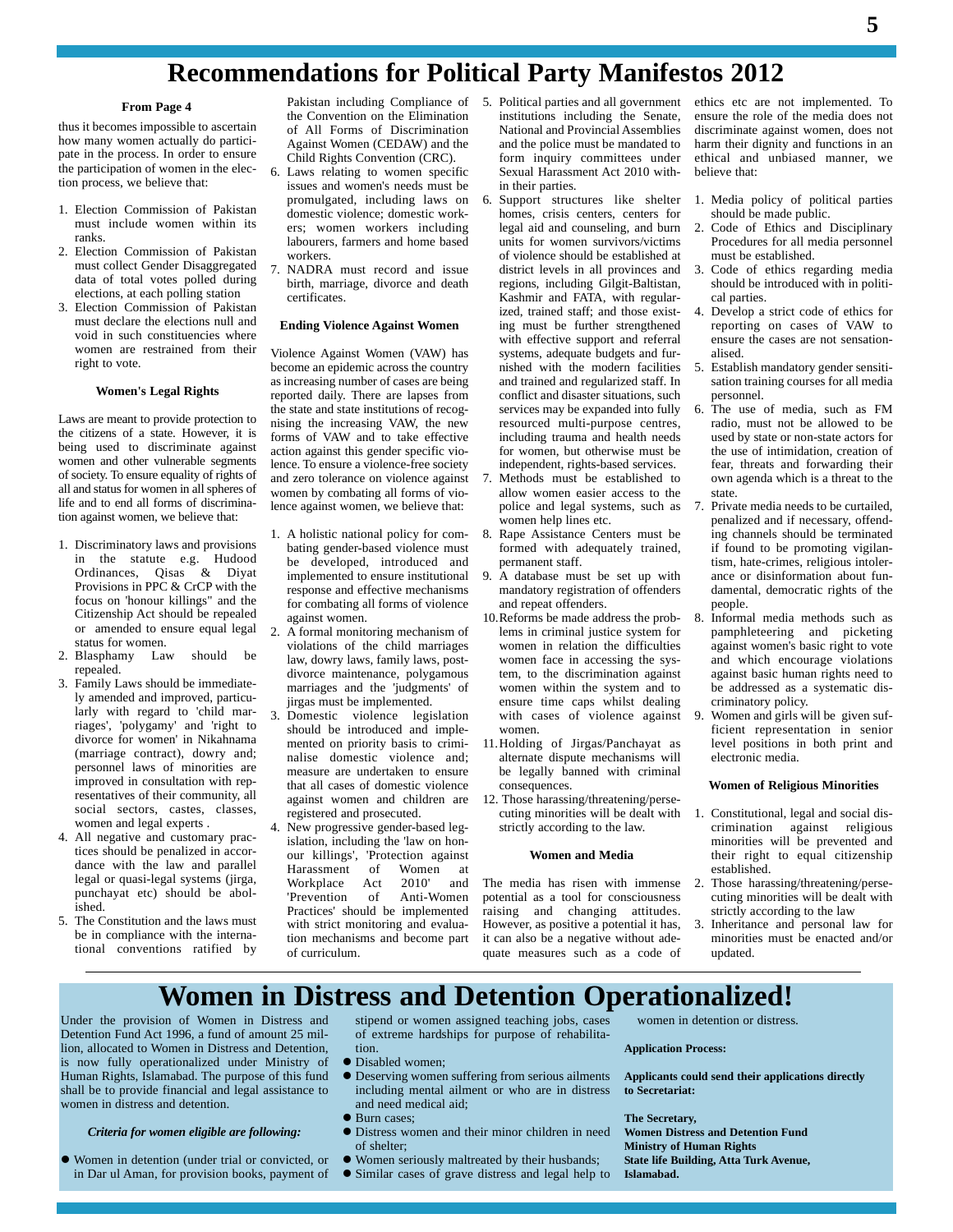### **Recommendations for Political Party Manifestos 2012**

#### **From Page 4**

thus it becomes impossible to ascertain how many women actually do partici pate in the process. In order to ensure the participation of women in the election process, we believe that:

- 1. Election Commission of Pakistan must include women within its ranks.
- 2. Election Commission of Pakistan must collect Gender Disaggregated data of total votes polled during elections, at each polling station
- 3. Election Commission of Pakistan must declare the elections null and void in such constituencies where women are restrained from their right to vote.

#### **Women's Legal Rights**

Laws are meant to provide protection to the citizens of a state. However, it is being used to discriminate against women and other vulnerable segments of society. To ensure equality of rights of all and status for women in allspheres of life and to end all forms of discrimination against women, we believe that:

- 1. Discriminatory laws and provisions in the statute e.g. Hudood be Ordinances, Qisas & Diyat Provisions in PPC & CrCP with the focus on 'honour killings" and the Citizenship Act should be repealed or amended to ensure equal legal status for women.<br>Blasphamy Law should be
- 2. Blasphamy repealed.
- 3. Family Laws should be immediately amended and improved, particularly with regard to 'child marriages', 'polygamy' and 'right to divorce for women' in Nikahnama (marriage contract), dowry and; personnel laws of minorities are improved in consultation with representatives of their community, all social sectors, castes, classes, women and legal experts .
- 4. All negative and customary practices should be penalized in accor dance with the law and parallel legal or quasi-legal systems (jirga, punchayat etc) should be abolished.
- 5. The Constitution and the laws must be in compliance with the international conventions ratified by

Pakistan including Compliance of the Convention on the Elimination of All Forms of Discrimination Against Women (CEDAW) and the Child Rights Convention (CRC).

- 6. Laws relating to women specific issues and women's needs must be promulgated, including laws on domestic violence; domestic work ers; women workers including labourers, farmers and home based workers.
- 7. NADRA must record and issue birth, marriage, divorce and death certificates.

#### **Ending Violence Against Women**

Violence Against Women (VAW) has become an epidemic across the country as increasing number of cases are being reported daily. There are lapses from the state and state institutions of recog nising the increasing VAW, the new forms of VAW and to take effective action against this gender specific violence. To ensure a violence-free society and zero tolerance on violence against women by combating all forms of violence against women, we believe that:

- 1. A holistic national policy for com bating gender-based violence must be developed, introduced and implemented to ensure institutional response and effective mechanisms for combating all forms of violence against women.
- 2. A formal monitoring mechanism of violations of the child marriages law, dowry laws, family laws, post divorce maintenance, polygamous marriages and the 'judgments' of jirgas must be implemented.
- 3. Domestic violence legislation should be introduced and imple mented on priority basis to crimi nalise domestic violence and; measure are undertaken to ensure that all cases of domestic violence against women and children are registered and prosecuted.
- New progressive gender-based legislation, including the 'law on hon our killings', 'Protection against Harassment of Women at Workplace Act 2010' and<br>'Prevention of Anti-Women Anti-Women Practices' should be implemented with strict monitoring and evaluation mechanisms and become part of curriculum.
- 5. Political parties and all government institutions including the Senate, National and Provincial Assemblies and the police must be mandated to form inquiry committees under Sexual Harassment Act 2010 within their parties.
- 6. Support structures like shelter homes, crisis centers, centers for legal aid and counseling, and burn units for women survivors/victims of violence should be established at district levels in all provinces and regions, including Gilgit-Baltistan, Kashmir and FATA, with regularized, trained staff; and those existing must be further strengthened with effective support and referral systems, adequate budgets and fur nished with the modern facilities and trained and regularized staff. In conflict and disaster situations, such services may be expanded into fully resourced multi-purpose centres, including trauma and health needs for women, but otherwise must be independent, rights-based services.
- 7. Methods must be established to allow women easier access to the police and legal systems, such as women help lines etc.
- 8. Rape Assistance Centers must be formed with adequately trained, permanent staff.
- 9. A database must be set up with mandatory registration of offenders and repeat offenders.
- 10.Reforms be made address the problems in criminal justice system for women in relation the difficulties women face in accessing the system, to the discrimination against women within the system and to ensure time caps whilst dealing<br>with cases of violence against 9 with cases of violence against women.
- 11.Holding of Jirgas/Panchayat as alternate dispute mechanisms will be legally banned with criminal consequences.
- 12. Those harassing/threatening/perse cuting minorities will be dealt with strictly according to the law.

#### **Women and Media**

The media has risen with immense potential as a tool for consciousness raising and changing attitudes. However, as positive a potential it has, 3. it can also be a negative without ade quate measures such as a code of

ethics etc are not implemented. To ensure the role of the media does not discriminate against women, does not harm their dignity and functions in an ethical and unbiased manner, we believe that:

- 1. Media policy of political parties should be made public.
- 2. Code of Ethics and Disciplinary Procedures for all media personnel must be established.
- 3. Code of ethics regarding media should be introduced with in politi cal parties.
- 4. Develop a strict code of ethics for reporting on cases of VAW to ensure the cases are not sensation alised.
- 5. Establish mandatory gender sensiti sation training courses for all media personnel.
- 6. The use of media, such as FM radio, must not be allowed to be used by state or non-state actors for the use of intimidation, creation of fear, threats and forwarding their own agenda which is a threat to the state.
- 7. Private media needs to be curtailed, penalized and if necessary, offending channels should be terminated if found to be promoting vigilantism, hate-crimes, religious intoler ance or disinformation about fun damental, democratic rights of the people.
- 8. Informal media methods such as pamphleteering and picketing against women's basic right to vote and which encourage violations against basic human rights need to be addressed as a systematic dis criminatory policy.
- Women and girls will be given sufficient representation in senior level positions in both print and electronic media.

#### **Women of Religious Minorities**

- 1. Constitutional, legal and social dis crimination against religious minorities will be prevented and their right to equal citizenship established.
- 2. Those harassing/threatening/perse cuting minorities will be dealt with strictly according to the law
- Inheritance and personal law for minorities must be enacted and/or updated.

### **Women in Distress and Detention Operationalized!**

Under the provision of Women in Distress and Detention Fund Act 1996, a fund of amount 25 million, allocated to Women in Distress and Detention, is now fully operationalized under Ministry of Human Rights, Islamabad. The purpose of this fund shall be to provide financial and legal assistance to women in distress and detention.

#### *Criteria for women eligible are following:*

- Women in detention (under trial or convicted, or in Dar ul Aman, for provision books, payment of
- stipend or women assigned teaching jobs, cases of extreme hardships for purpose of rehabilita-
- $\bullet$  Disabled women;
- Deserving women suffering from serious ailments including mental ailment or who are in distress and need medical aid;
- Burn cases:
- Distress women and their minor children in need of shelter;
- Women seriously maltreated by their husbands;
- Similar cases of grave distress and legal help to

women in detention or distress.

### **Application Process:**

**Applicants could send their applications directly to Secretariat:**

#### **The Secretary,**

**Women Distress and Detention Fund Ministry of Human Rights State life Building, Atta Turk Avenue, Islamabad.**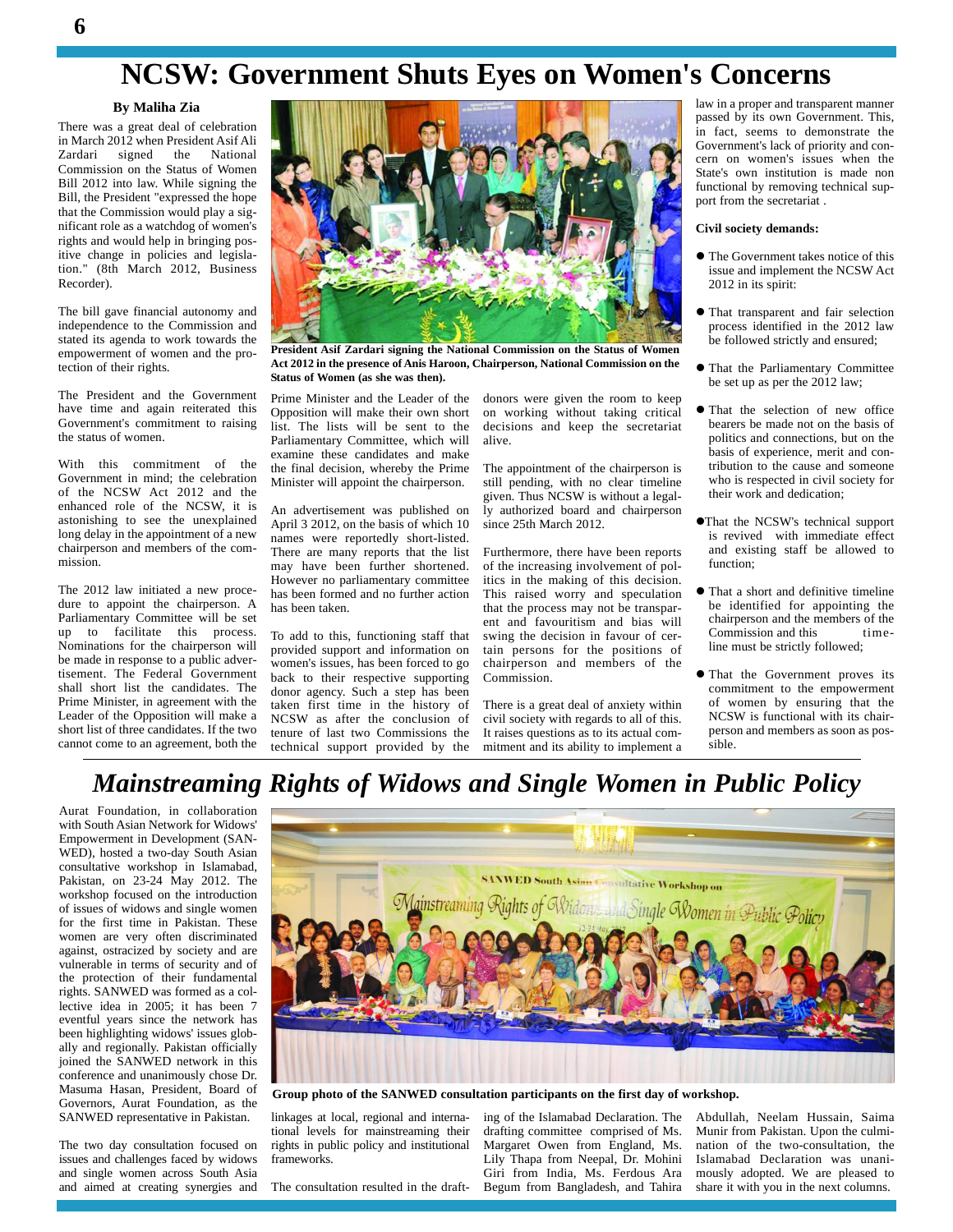# **NCSW: Government Shuts Eyes on Women's Concerns**

#### **By Maliha Zia**

There was a great deal of celebration in March 2012 when President Asif Ali Zardari signed the National Commission on the Status of Women Bill 2012 into law. While signing the Bill, the President "expressed the hope that the Commission would play a sig nificant role as a watchdog of women's rights and would help in bringing positive change in policies and legislation." (8th March 2012, Business Recorder).

The bill gave financial autonomy and independence to the Commission and stated its agenda to work towards the empowerment of women and the protection of their rights.

The President and the Government have time and again reiterated this Government's commitment to raising the status of women.

With this commitment of the Government in mind; the celebration of the NCSW Act 2012 and the enhanced role of the NCSW, it is astonishing to see the unexplained long delay in the appointment of a new chairperson and members of the com mission.

The 2012 law initiated a new proce dure to appoint the chairperson. A Parliamentary Committee will be set up to facilitate this process. Nominations for the chairperson will be made in response to a public advertisement. The Federal Government shall short list the candidates. The Prime Minister, in agreement with the Leader of the Opposition will make a short list of three candidates. If the two cannot come to an agreement, both the



**President Asif Zardari signing the National Commission on the Status of Women Act 2012 in the presence of Anis Haroon, Chairperson, National Commission on the Status of Women (as she was then).**

Prime Minister and the Leader of the Opposition will make their own short list. The lists will be sent to the Parliamentary Committee, which will examine these candidates and make the final decision, whereby the Prime Minister will appoint the chairperson.

An advertisement was published on April 3 2012, on the basis of which 10 names were reportedly short-listed. There are many reports that the list may have been further shortened. However no parliamentary committee has been formed and no further action has been taken.

To add to this, functioning staff that provided support and information on women's issues, has been forced to go back to their respective supporting donor agency. Such a step has been taken first time in the history of NCSW as after the conclusion of tenure of last two Commissions the technical support provided by the

donors were given the room to keep on working without taking critical decisions and keep the secretariat alive.

The appointment of the chairperson is still pending, with no clear timeline given. Thus NCSW is without a legally authorized board and chairperson since 25th March 2012.

Furthermore, there have been reports of the increasing involvement of politics in the making of this decision. This raised worry and speculation that the process may not be transparent and favouritism and bias will swing the decision in favour of certain persons for the positions of chairperson and members of the Commission.

There is a great deal of anxiety within civil society with regards to all of this. It raises questions as to its actual com mitment and its ability to implement a law in a proper and transparent manner passed by its own Government. This, in fact, seems to demonstrate the Government's lack of priority and con cern on women's issues when the State's own institution is made non functional by removing technical sup port from the secretariat .

#### **Civil society demands:**

- The Government takes notice of this issue and implement the NCSW Act 2012 in its spirit:
- That transparent and fair selection process identified in the 2012 law be followed strictly and ensured;
- $\bullet$  That the Parliamentary Committee be set up as per the 2012 law;
- That the selection of new office bearers be made not on the basis of politics and connections, but on the basis of experience, merit and contribution to the cause and someone who is respected in civil society for their work and dedication;
- That the NCSW's technical support is revived with immediate effect and existing staff be allowed to function;
- That a short and definitive timeline be identified for appointing the chairperson and the members of the<br>Commission and this time-Commission and this line must be strictly followed;
- That the Government proves its commitment to the empowerment of women by ensuring that the NCSW is functional with its chair person and members as soon as pos sible.

## *Mainstreaming Rights of Widows and Single Women in Public Policy*

Aurat Foundation, in collaboration with South Asian Network for Widows' Empowerment in Development (SAN- WED), hosted a two-day South Asian consultative workshop in Islamabad, Pakistan, on 23-24 May 2012. The workshop focused on the introduction of issues of widows and single women for the first time in Pakistan. These women are very often discriminated against, ostracized by society and are vulnerable in terms of security and of the protection of their fundamental rights. SANWED was formed as a collective idea in 2005; it has been 7 eventful years since the network has been highlighting widows' issues glob ally and regionally. Pakistan officially joined the SANWED network in this conference and unanimously chose Dr. Masuma Hasan, President, Board of Governors, Aurat Foundation, as the SANWED representative in Pakistan.

The two day consultation focused on issues and challenges faced by widows and single women across South Asia and aimed at creating synergies and



**Group photo of the SANWED consultation participants on the first day of workshop.**

linkages at local, regional and international levels for mainstreaming their rights in public policy and institutional frameworks.

The consultation resulted in the draft-

ing of the Islamabad Declaration. The drafting committee comprised of Ms. Margaret Owen from England, Ms. Lily Thapa from Neepal, Dr. Mohini Giri from India, Ms. Ferdous Ara Begum from Bangladesh, and Tahira

Abdullah, Neelam Hussain, Saima Munir from Pakistan. Upon the culmination of the two-consultation, the Islamabad Declaration was unani mously adopted. We are pleased to share it with you in the next columns.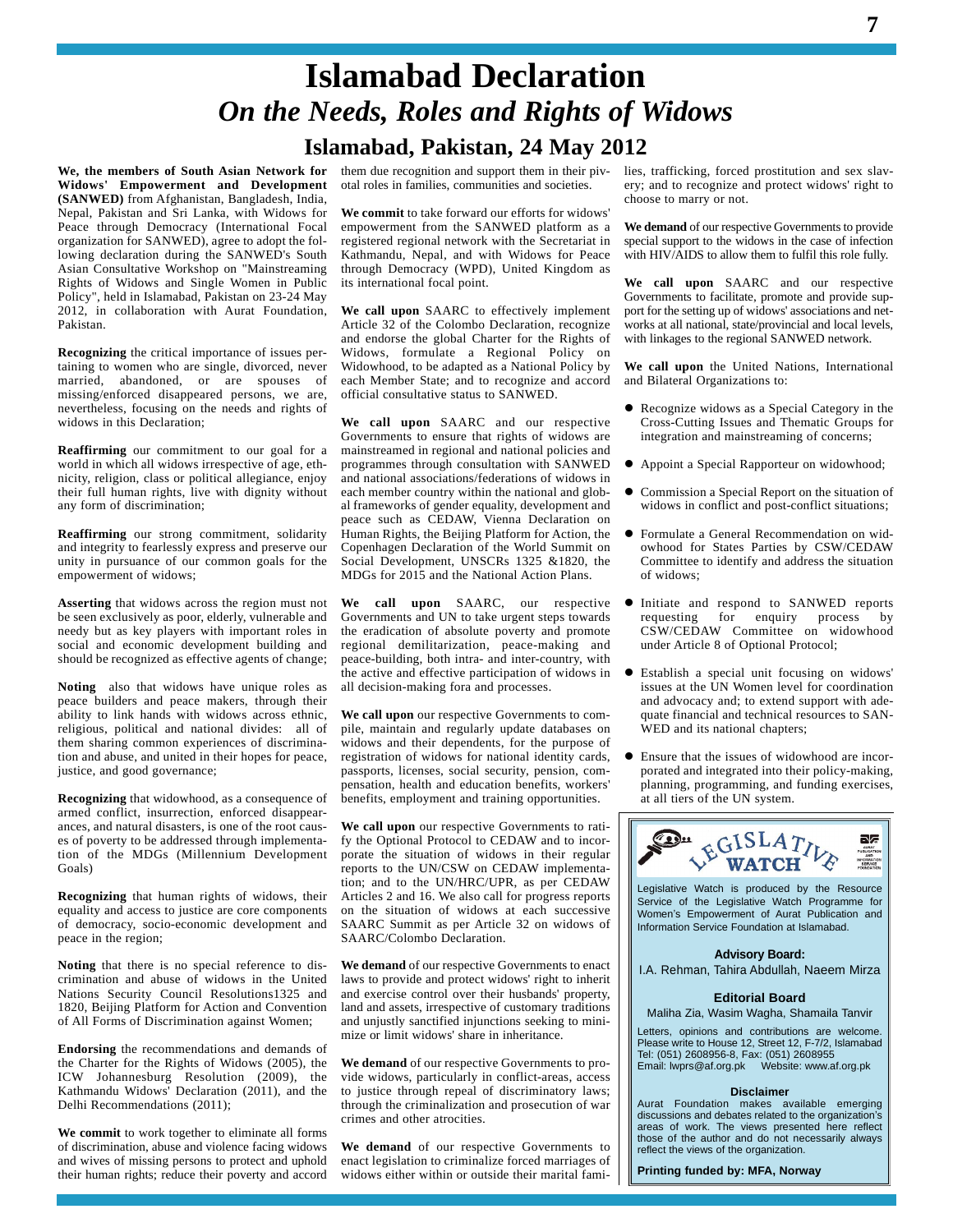# **Islamabad Declaration** *On the Needs, Roles and Rights of Widows* **Islamabad, Pakistan, 24 May 2012**

**We, the members of South Asian Network for Widows' Empowerment and Development (SANWED)** from Afghanistan, Bangladesh, India, Nepal, Pakistan and SriLanka, with Widows for Peace through Democracy (International Focal organization for SANWED), agree to adopt the following declaration during the SANWED's South Asian Consultative Workshop on "Mainstreaming Rights of Widows and Single Women in Public Policy", held in Islamabad, Pakistan on 23-24 May 2012, in collaboration with Aurat Foundation, Pakistan.

**Recognizing** the critical importance of issues pertaining to women who are single, divorced, never married, abandoned, or are spouses of missing/enforced disappeared persons, we are, nevertheless, focusing on the needs and rights of widows in this Declaration;

**Reaffirming** our commitment to our goal for a world in which all widows irrespective of age, eth nicity, religion, class or political allegiance, enjoy their full human rights, live with dignity without any form of discrimination;

**Reaffirming** our strong commitment, solidarity and integrity to fearlessly express and preserve our unity in pursuance of our common goals for the empowerment of widows;

**Asserting** that widows across the region must not be seen exclusively as poor, elderly, vulnerable and needy but as key players with important roles in social and economic development building and should be recognized as effective agents of change;

**Noting** also that widows have unique roles as peace builders and peace makers, through their ability to link hands with widows across ethnic, religious, political and national divides: all of them sharing common experiences of discrimination and abuse, and united in their hopes for peace, justice, and good governance;

**Recognizing** that widowhood, as a consequence of armed conflict, insurrection, enforced disappear ances, and natural disasters, is one of the root caus es of poverty to be addressed through implementation of the MDGs (Millennium Development Goals)

**Recognizing** that human rights of widows, their equality and access to justice are core components of democracy, socio-economic development and peace in the region;

**Noting** that there is no special reference to dis crimination and abuse of widows in the United Nations Security Council Resolutions1325 and 1820, Beijing Platform for Action and Convention of All Forms of Discrimination against Women;

**Endorsing** the recommendations and demands of the Charter for the Rights of Widows (2005), the ICW Johannesburg Resolution (2009), the Kathmandu Widows' Declaration (2011), and the to ju-Delhi Recommendations (2011);

**We commit** to work together to eliminate all forms of discrimination, abuse and violence facing widows and wives of missing persons to protect and uphold their human rights; reduce their poverty and accord

them due recognition and support them in their piv otal roles in families, communities and societies.

**We commit** to take forward our efforts for widows' empowerment from the SANWED platform as a registered regional network with the Secretariat in Kathmandu, Nepal, and with Widows for Peace through Democracy (WPD), United Kingdom as its international focal point.

**We call upon** SAARC to effectively implement Article 32 of the Colombo Declaration, recognize and endorse the global Charter for the Rights of Widows, formulate a Regional Policy on Widowhood, to be adapted as a National Policy by each Member State; and to recognize and accord official consultative status to SANWED.

**We call upon** SAARC and our respective Governments to ensure that rights of widows are mainstreamed in regional and national policies and programmes through consultation with SANWED and national associations/federations of widows in each member country within the national and glob al frameworks of gender equality, development and peace such as CEDAW, Vienna Declaration on Human Rights, the Beijing Platform for Action, the Copenhagen Declaration of the World Summit on Social Development, UNSCRs 1325 &1820, the MDGs for 2015 and the National Action Plans.

**We call upon** SAARC, our respective Governments and UN to take urgent steps towards the eradication of absolute poverty and promote regional demilitarization, peace-making and peace-building, both intra- and inter-country, with the active and effective participation of widows in all decision-making fora and processes.

**We call upon** our respective Governments to compile, maintain and regularly update databases on widows and their dependents, for the purpose of registration of widows for national identity cards. passports, licenses, social security, pension, com pensation, health and education benefits, workers' benefits, employment and training opportunities.

**We call upon** our respective Governments to ratify the Optional Protocol to CEDAW and to incor porate the situation of widows in their regular reports to the UN/CSW on CEDAW implementation; and to the UN/HRC/UPR, as per CEDAW Articles 2 and 16. We also call for progress reports on the situation of widows at each successive Women's Empowerment of Aurat Publication and SAARC Summit as per Article 32 on widows of SAARC/Colombo Declaration.

**We demand** of our respective Governments to enact laws to provide and protect widows' right to inherit and exercise control over their husbands' property, land and assets, irrespective of customary traditions and unjustly sanctified injunctions seeking to mini mize or limit widows' share in inheritance.

**We demand** of our respective Governments to pro vide widows, particularly in conflict-areas, access to justice through repeal of discriminatory laws; through the criminalization and prosecution of war **A** Aurat Foundation makes available emerging crimes and other atrocities crimes and other atrocities.

**We demand** of our respective Governments to enact legislation to criminalize forced marriages of widows either within or outside their marital families, trafficking, forced prostitution and sex slav ery; and to recognize and protect widows' right to choose to marry or not.

**We demand** of our respective Governments to provide special support to the widows in the case of infection with HIV/AIDS to allow them to fulfil this role fully.

**We call upon** SAARC and our respective Governments to facilitate, promote and provide sup port for the setting up of widows' associations and net works at all national, state/provincial and local levels, with linkages to the regional SANWED network.

**We call upon** the United Nations, International and Bilateral Organizations to:

- Recognize widows as a Special Category in the Cross-Cutting Issues and Thematic Groups for integration and mainstreaming of concerns;
- Appoint a Special Rapporteur on widowhood;
- Commission a Special Report on the situation of widows in conflict and post-conflict situations;
- Formulate a General Recommendation on wid owhood for States Parties by CSW/CEDAW Committee to identify and address the situation of widows;
- Initiate and respond to SANWED reports requesting for enquiry process by CSW/CEDAW Committee on widowhood under Article 8 of Optional Protocol;
- Establish a special unit focusing on widows' issues at the UN Women level for coordination and advocacy and; to extend support with ade quate financial and technical resources to SAN- WED and its national chapters;
- Ensure that the issues of widowhood are incor porated and integrated into their policy-making, planning, programming, and funding exercises, at all tiers of the UN system.



Legislative Watch is produced by the Resource Service of the Legislative Watch Programme for Legislative Watch is produced by the Resource<br>Service of the Legislative Watch Programme for<br>Women's Empowerment of Aurat Publication and Information Service Foundation at Islamabad.

#### **Advisory Board:**

I.A. Rehman, Tahira Abdullah, Naeem Mirza

#### **Editorial Board**

Maliha Zia, Wasim Wagha, Shamaila Tanvir

Letters, opinions and contributions are welcome. Please write to House 12, Street 12, F-7/2, Islamabad Tel: (051) 2608956-8, Fax: (051) 2608955 Email: [lwprs@af.org.pk](mailto:lwprs@af.org.pk) Website: [www.af.org.pk](http://www.af.org.pk)

#### **Disclaimer**

**Disclaimer**<br>Aurat Foundation makes available emerging<br>discussions and debates related to the organization's areas of work. The views presented here reflect those of the author and do not necessarily always reflect the views of the organization.

**Printing funded by: MFA, Norway**